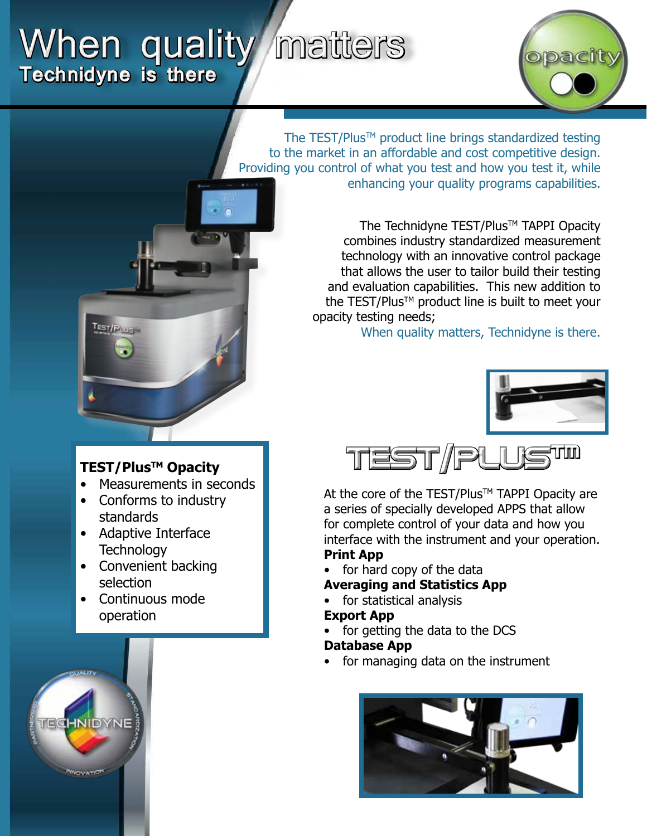# When quality matters **Technidyne is there**



The TEST/Plus<sup>™</sup> product line brings standardized testing to the market in an affordable and cost competitive design. Providing you control of what you test and how you test it, while enhancing your quality programs capabilities.

> The Technidyne TEST/Plus™ TAPPI Opacity combines industry standardized measurement technology with an innovative control package that allows the user to tailor build their testing and evaluation capabilities. This new addition to the TEST/Plus<sup>TM</sup> product line is built to meet your opacity testing needs;

> > When quality matters, Technidyne is there.





At the core of the TEST/Plus™ TAPPI Opacity are a series of specially developed APPS that allow for complete control of your data and how you interface with the instrument and your operation. **Print App**

- for hard copy of the data
- **Averaging and Statistics App**
- for statistical analysis

#### **Export App**

for getting the data to the DCS

#### **Database App**

for managing data on the instrument





## **TEST/PlusTM Opacity**

- Measurements in seconds
- Conforms to industry standards
- Adaptive Interface **Technology**
- Convenient backing selection
- Continuous mode operation